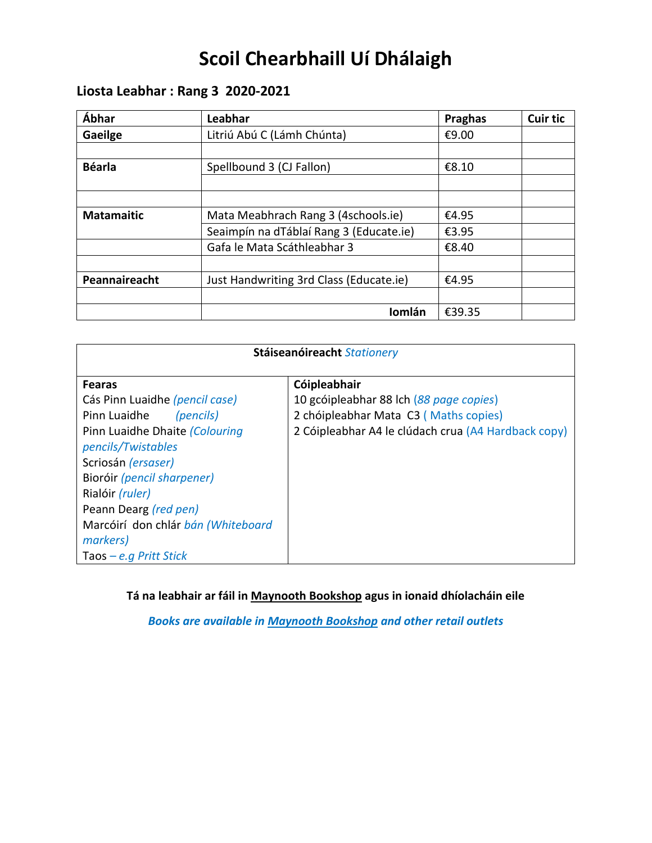# **Scoil Chearbhaill Uí Dhálaigh**

# **Liosta Leabhar : Rang 3 2020-2021**

| Ábhar             | Leabhar                                 | <b>Praghas</b> | <b>Cuir tic</b> |
|-------------------|-----------------------------------------|----------------|-----------------|
| Gaeilge           | Litriú Abú C (Lámh Chúnta)              | €9.00          |                 |
|                   |                                         |                |                 |
| <b>Béarla</b>     | Spellbound 3 (CJ Fallon)                | €8.10          |                 |
|                   |                                         |                |                 |
|                   |                                         |                |                 |
| <b>Matamaitic</b> | Mata Meabhrach Rang 3 (4schools.ie)     | €4.95          |                 |
|                   | Seaimpín na dTáblaí Rang 3 (Educate.ie) | €3.95          |                 |
|                   | Gafa le Mata Scáthleabhar 3             | €8.40          |                 |
|                   |                                         |                |                 |
| Peannaireacht     | Just Handwriting 3rd Class (Educate.ie) | €4.95          |                 |
|                   |                                         |                |                 |
|                   | Iomlán                                  | €39.35         |                 |

| Stáiseanóireacht Stationery        |                                                     |  |  |
|------------------------------------|-----------------------------------------------------|--|--|
| <b>Fearas</b>                      | Cóipleabhair                                        |  |  |
| Cás Pinn Luaidhe (pencil case)     | 10 gcóipleabhar 88 lch (88 page copies)             |  |  |
| Pinn Luaidhe<br>(pencils)          | 2 chóipleabhar Mata C3 (Maths copies)               |  |  |
| Pinn Luaidhe Dhaite (Colouring     | 2 Cóipleabhar A4 le clúdach crua (A4 Hardback copy) |  |  |
| pencils/Twistables                 |                                                     |  |  |
| Scriosán (ersaser)                 |                                                     |  |  |
| Bioróir (pencil sharpener)         |                                                     |  |  |
| Rialóir <i>(ruler)</i>             |                                                     |  |  |
| Peann Dearg (red pen)              |                                                     |  |  |
| Marcóirí don chlár bán (Whiteboard |                                                     |  |  |
| markers)                           |                                                     |  |  |
| Taos – e.g Pritt Stick             |                                                     |  |  |

**Tá na leabhair ar fáil in Maynooth Bookshop agus in ionaid dhíolacháin eile**

*Books are available in Maynooth Bookshop and other retail outlets*